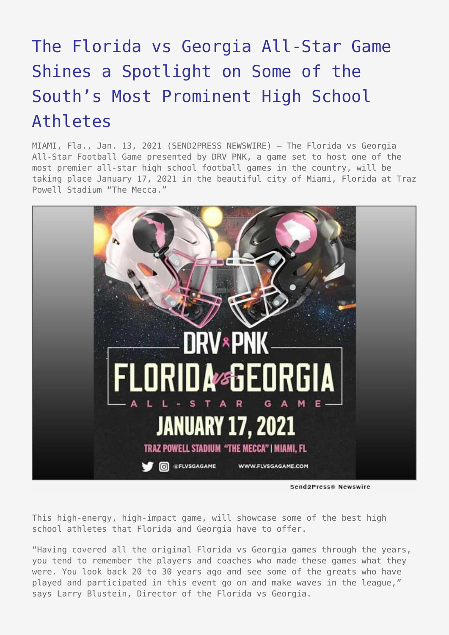## [The Florida vs Georgia All-Star Game](https://www.send2press.com/wire/the-florida-vs-georgia-all-star-game-shines-a-spotlight-on-some-of-the-souths-most-prominent-high-school-athletes/) [Shines a Spotlight on Some of the](https://www.send2press.com/wire/the-florida-vs-georgia-all-star-game-shines-a-spotlight-on-some-of-the-souths-most-prominent-high-school-athletes/) [South's Most Prominent High School](https://www.send2press.com/wire/the-florida-vs-georgia-all-star-game-shines-a-spotlight-on-some-of-the-souths-most-prominent-high-school-athletes/) [Athletes](https://www.send2press.com/wire/the-florida-vs-georgia-all-star-game-shines-a-spotlight-on-some-of-the-souths-most-prominent-high-school-athletes/)

MIAMI, Fla., Jan. 13, 2021 (SEND2PRESS NEWSWIRE) — The Florida vs Georgia All-Star Football Game presented by DRV PNK, a game set to host one of the most premier all-star high school football games in the country, will be taking place January 17, 2021 in the beautiful city of Miami, Florida at Traz Powell Stadium "The Mecca."



Send2Press® Newswire

This high-energy, high-impact game, will showcase some of the best high school athletes that Florida and Georgia have to offer.

"Having covered all the original Florida vs Georgia games through the years, you tend to remember the players and coaches who made these games what they were. You look back 20 to 30 years ago and see some of the greats who have played and participated in this event go on and make waves in the league," says Larry Blustein, Director of the Florida vs Georgia.